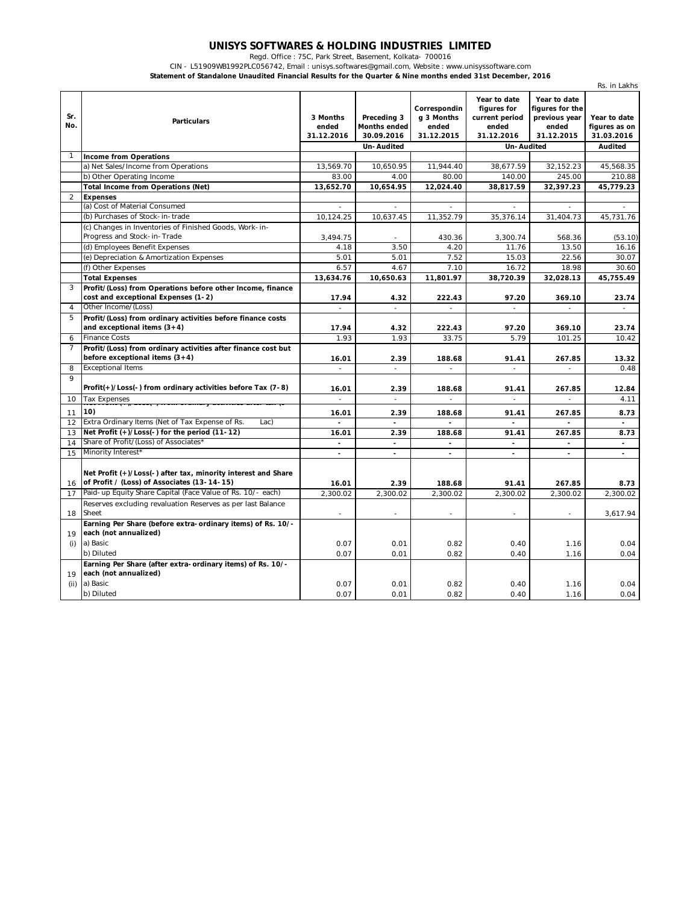## **UNISYS SOFTWARES & HOLDING INDUSTRIES LIMITED**

Regd. Office : 75C, Park Street, Basement, Kolkata- 700016

CIN - L51909WB1992PLC056742, Email : unisys.softwares@gmail.com, Website : www.unisyssoftware.com

**Statement of Standalone Unaudited Financial Results for the Quarter & Nine months ended 31st December, 2016**

|                | 3 Januarune Unaudited Financial Results for the Quarter & Nine months ended 3 ist December, 2010             |                                 |                                                                |                                                   |                                                                                    |                                                                         | Rs. in Lakhs                                           |
|----------------|--------------------------------------------------------------------------------------------------------------|---------------------------------|----------------------------------------------------------------|---------------------------------------------------|------------------------------------------------------------------------------------|-------------------------------------------------------------------------|--------------------------------------------------------|
| Sr.<br>No.     | <b>Particulars</b>                                                                                           | 3 Months<br>ended<br>31.12.2016 | Preceding 3<br><b>Months ended</b><br>30.09.2016<br>Un-Audited | Correspondin<br>q 3 Months<br>ended<br>31.12.2015 | Year to date<br>figures for<br>current period<br>ended<br>31.12.2016<br>Un-Audited | Year to date<br>figures for the<br>previous year<br>ended<br>31.12.2015 | Year to date<br>figures as on<br>31.03.2016<br>Audited |
| $\mathbf{1}$   | <b>Income from Operations</b>                                                                                |                                 |                                                                |                                                   |                                                                                    |                                                                         |                                                        |
|                | a) Net Sales/Income from Operations                                                                          | 13,569.70                       | 10,650.95                                                      | 11,944.40                                         | 38,677.59                                                                          | 32,152.23                                                               | 45,568.35                                              |
|                | b) Other Operating Income                                                                                    | 83.00                           | 4.00                                                           | 80.00                                             | 140.00                                                                             | 245.00                                                                  | 210.88                                                 |
|                | <b>Total Income from Operations (Net)</b>                                                                    | 13,652.70                       | 10,654.95                                                      | 12,024.40                                         | 38,817.59                                                                          | 32,397.23                                                               | 45,779.23                                              |
| 2              | <b>Expenses</b>                                                                                              |                                 |                                                                |                                                   |                                                                                    |                                                                         |                                                        |
|                | (a) Cost of Material Consumed                                                                                | ÷.                              | ÷.                                                             | ÷.                                                |                                                                                    |                                                                         |                                                        |
|                | (b) Purchases of Stock-in-trade                                                                              | 10,124.25                       | 10,637.45                                                      | 11,352.79                                         | 35,376.14                                                                          | 31,404.73                                                               | 45,731.76                                              |
|                | (c) Changes in Inventories of Finished Goods, Work-in-                                                       |                                 |                                                                |                                                   |                                                                                    |                                                                         |                                                        |
|                | Progress and Stock-in-Trade                                                                                  | 3,494.75                        | $\overline{\phantom{a}}$                                       | 430.36                                            | 3,300.74                                                                           | 568.36                                                                  | (53.10)                                                |
|                | (d) Employees Benefit Expenses                                                                               | 4.18                            | 3.50                                                           | 4.20                                              | 11.76                                                                              | 13.50                                                                   | 16.16                                                  |
|                | (e) Depreciation & Amortization Expenses                                                                     | 5.01                            | 5.01                                                           | 7.52                                              | 15.03                                                                              | 22.56                                                                   | 30.07                                                  |
|                | (f) Other Expenses                                                                                           | 6.57                            | 4.67                                                           | 7.10                                              | 16.72                                                                              | 18.98                                                                   | 30.60                                                  |
|                | <b>Total Expenses</b>                                                                                        | 13,634.76                       | 10,650.63                                                      | 11,801.97                                         | 38,720.39                                                                          | 32,028.13                                                               | 45,755.49                                              |
| 3              | Profit/(Loss) from Operations before other Income, finance                                                   |                                 |                                                                |                                                   |                                                                                    |                                                                         |                                                        |
|                | cost and exceptional Expenses (1-2)                                                                          | 17.94                           | 4.32                                                           | 222.43                                            | 97.20                                                                              | 369.10                                                                  | 23.74                                                  |
| $\overline{4}$ | Other Income/(Loss)                                                                                          |                                 | $\overline{a}$                                                 |                                                   |                                                                                    |                                                                         |                                                        |
| 5              | Profit/(Loss) from ordinary activities before finance costs<br>and exceptional items $(3+4)$                 | 17.94                           | 4.32                                                           | 222.43                                            | 97.20                                                                              | 369.10                                                                  | 23.74                                                  |
| 6              | <b>Finance Costs</b>                                                                                         | 1.93                            | 1.93                                                           | 33.75                                             | 5.79                                                                               | 101.25                                                                  | 10.42                                                  |
| $\overline{7}$ | Profit/(Loss) from ordinary activities after finance cost but<br>before exceptional items $(3+4)$            | 16.01                           | 2.39                                                           | 188.68                                            | 91.41                                                                              | 267.85                                                                  | 13.32                                                  |
| 8              | <b>Exceptional Items</b>                                                                                     |                                 |                                                                | L,                                                |                                                                                    |                                                                         | 0.48                                                   |
| 9              |                                                                                                              |                                 |                                                                |                                                   |                                                                                    |                                                                         |                                                        |
|                | Profit(+)/Loss(-) from ordinary activities before Tax (7-8)                                                  | 16.01                           | 2.39                                                           | 188.68                                            | 91.41                                                                              | 267.85                                                                  | 12.84                                                  |
| 10             | <b>Tax Expenses</b>                                                                                          |                                 | $\sim$                                                         |                                                   | ÷,                                                                                 |                                                                         | 4.11                                                   |
| 11             | 10)                                                                                                          | 16.01                           | 2.39                                                           | 188.68                                            | 91.41                                                                              | 267.85                                                                  | 8.73                                                   |
| 12             | Extra Ordinary Items (Net of Tax Expense of Rs.<br>Lac)                                                      | $\overline{a}$                  | $\mathbf{r}$                                                   |                                                   | $\overline{a}$                                                                     | $\mathbf{r}$                                                            | $\mathbf{r}$                                           |
| 13             | Net Profit (+)/Loss(-) for the period (11-12)                                                                | 16.01                           | 2.39                                                           | 188.68                                            | 91.41                                                                              | 267.85                                                                  | 8.73                                                   |
| 14             | Share of Profit/(Loss) of Associates*                                                                        | $\blacksquare$                  | $\blacksquare$                                                 | $\overline{\phantom{a}}$                          | $\blacksquare$                                                                     | $\blacksquare$                                                          | $\blacksquare$                                         |
| 15             | Minority Interest*                                                                                           | $\blacksquare$                  | $\blacksquare$                                                 | $\blacksquare$                                    | ÷                                                                                  | $\sim$                                                                  | $\blacksquare$                                         |
|                | Net Profit (+)/Loss(-) after tax, minority interest and Share<br>of Profit / (Loss) of Associates (13-14-15) | 16.01                           | 2.39                                                           | 188.68                                            |                                                                                    | 267.85                                                                  |                                                        |
| 16<br>17       | Paid-up Equity Share Capital (Face Value of Rs. 10/- each)                                                   | 2,300.02                        | 2,300.02                                                       | 2,300.02                                          | 91.41<br>2,300.02                                                                  | 2,300.02                                                                | 8.73<br>2,300.02                                       |
|                | Reserves excluding revaluation Reserves as per last Balance                                                  |                                 |                                                                |                                                   |                                                                                    |                                                                         |                                                        |
| 18             | Sheet                                                                                                        | ÷.                              | ÷                                                              | ÷                                                 | ÷.                                                                                 |                                                                         | 3,617.94                                               |
| 19             | Earning Per Share (before extra-ordinary items) of Rs. 10/-<br>each (not annualized)                         |                                 |                                                                |                                                   |                                                                                    |                                                                         |                                                        |
| (i)            | a) Basic                                                                                                     | 0.07                            | 0.01                                                           | 0.82                                              | 0.40                                                                               | 1.16                                                                    | 0.04                                                   |
|                | b) Diluted                                                                                                   | 0.07                            | 0.01                                                           | 0.82                                              | 0.40                                                                               | 1.16                                                                    | 0.04                                                   |
| 19             | Earning Per Share (after extra-ordinary items) of Rs. 10/-<br>each (not annualized)                          |                                 |                                                                |                                                   |                                                                                    |                                                                         |                                                        |
| (i)            | a) Basic                                                                                                     | 0.07                            | 0.01                                                           | 0.82                                              | 0.40                                                                               | 1.16                                                                    | 0.04                                                   |
|                | b) Diluted                                                                                                   | 0.07                            | 0.01                                                           | 0.82                                              | 0.40                                                                               | 1.16                                                                    | 0.04                                                   |